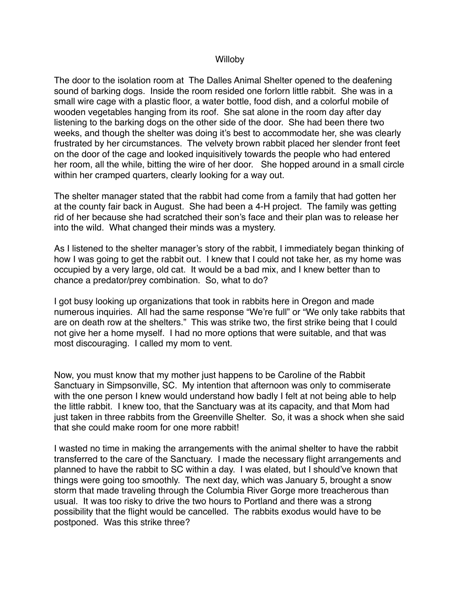## Willoby

The door to the isolation room at The Dalles Animal Shelter opened to the deafening sound of barking dogs. Inside the room resided one forlorn little rabbit. She was in a small wire cage with a plastic floor, a water bottle, food dish, and a colorful mobile of wooden vegetables hanging from its roof. She sat alone in the room day after day listening to the barking dogs on the other side of the door. She had been there two weeks, and though the shelter was doing it's best to accommodate her, she was clearly frustrated by her circumstances. The velvety brown rabbit placed her slender front feet on the door of the cage and looked inquisitively towards the people who had entered her room, all the while, bitting the wire of her door. She hopped around in a small circle within her cramped quarters, clearly looking for a way out.

The shelter manager stated that the rabbit had come from a family that had gotten her at the county fair back in August. She had been a 4-H project. The family was getting rid of her because she had scratched their son's face and their plan was to release her into the wild. What changed their minds was a mystery.

As I listened to the shelter manager's story of the rabbit, I immediately began thinking of how I was going to get the rabbit out. I knew that I could not take her, as my home was occupied by a very large, old cat. It would be a bad mix, and I knew better than to chance a predator/prey combination. So, what to do?

I got busy looking up organizations that took in rabbits here in Oregon and made numerous inquiries. All had the same response "We're full" or "We only take rabbits that are on death row at the shelters." This was strike two, the first strike being that I could not give her a home myself. I had no more options that were suitable, and that was most discouraging. I called my mom to vent.

Now, you must know that my mother just happens to be Caroline of the Rabbit Sanctuary in Simpsonville, SC. My intention that afternoon was only to commiserate with the one person I knew would understand how badly I felt at not being able to help the little rabbit. I knew too, that the Sanctuary was at its capacity, and that Mom had just taken in three rabbits from the Greenville Shelter. So, it was a shock when she said that she could make room for one more rabbit!

I wasted no time in making the arrangements with the animal shelter to have the rabbit transferred to the care of the Sanctuary. I made the necessary flight arrangements and planned to have the rabbit to SC within a day. I was elated, but I should've known that things were going too smoothly. The next day, which was January 5, brought a snow storm that made traveling through the Columbia River Gorge more treacherous than usual. It was too risky to drive the two hours to Portland and there was a strong possibility that the flight would be cancelled. The rabbits exodus would have to be postponed. Was this strike three?